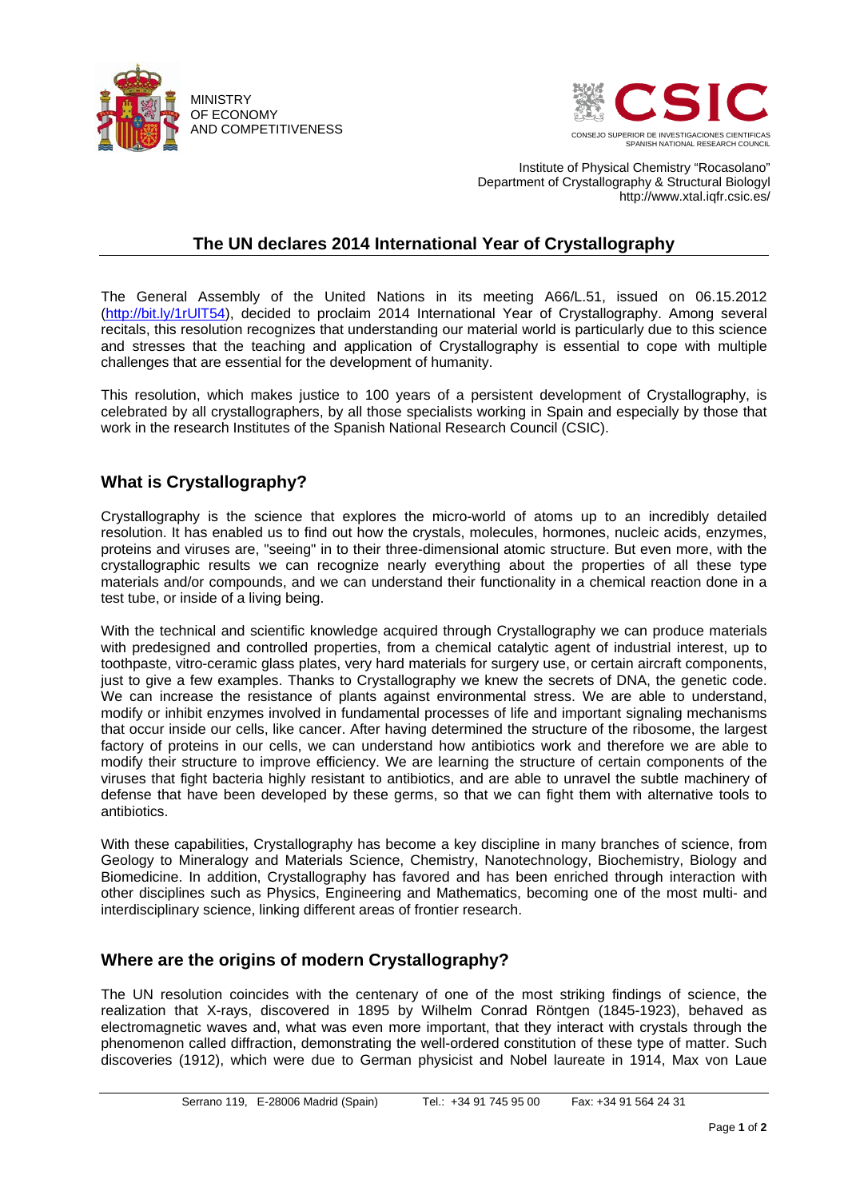



Institute of Physical Chemistry "Rocasolano" Department of Crystallography & Structural Biologyl http://www.xtal.iqfr.csic.es/

## **The UN declares 2014 International Year of Crystallography**

The General Assembly of the United Nations in its meeting A66/L.51, issued on 06.15.2012 [\(http://bit.ly/1rUlT54\)](http://bit.ly/1rUlT54), decided to proclaim 2014 International Year of Crystallography. Among several recitals, this resolution recognizes that understanding our material world is particularly due to this science and stresses that the teaching and application of Crystallography is essential to cope with multiple challenges that are essential for the development of humanity.

This resolution, which makes justice to 100 years of a persistent development of Crystallography, is celebrated by all crystallographers, by all those specialists working in Spain and especially by those that work in the research Institutes of the Spanish National Research Council (CSIC).

## **What is Crystallography?**

Crystallography is the science that explores the micro-world of atoms up to an incredibly detailed resolution. It has enabled us to find out how the crystals, molecules, hormones, nucleic acids, enzymes, proteins and viruses are, "seeing" in to their three-dimensional atomic structure. But even more, with the crystallographic results we can recognize nearly everything about the properties of all these type materials and/or compounds, and we can understand their functionality in a chemical reaction done in a test tube, or inside of a living being.

With the technical and scientific knowledge acquired through Crystallography we can produce materials with predesigned and controlled properties, from a chemical catalytic agent of industrial interest, up to toothpaste, vitro-ceramic glass plates, very hard materials for surgery use, or certain aircraft components, just to give a few examples. Thanks to Crystallography we knew the secrets of DNA, the genetic code. We can increase the resistance of plants against environmental stress. We are able to understand. modify or inhibit enzymes involved in fundamental processes of life and important signaling mechanisms that occur inside our cells, like cancer. After having determined the structure of the ribosome, the largest factory of proteins in our cells, we can understand how antibiotics work and therefore we are able to modify their structure to improve efficiency. We are learning the structure of certain components of the viruses that fight bacteria highly resistant to antibiotics, and are able to unravel the subtle machinery of defense that have been developed by these germs, so that we can fight them with alternative tools to antibiotics.

With these capabilities, Crystallography has become a key discipline in many branches of science, from Geology to Mineralogy and Materials Science, Chemistry, Nanotechnology, Biochemistry, Biology and Biomedicine. In addition, Crystallography has favored and has been enriched through interaction with other disciplines such as Physics, Engineering and Mathematics, becoming one of the most multi- and interdisciplinary science, linking different areas of frontier research.

## **Where are the origins of modern Crystallography?**

The UN resolution coincides with the centenary of one of the most striking findings of science, the realization that X-rays, discovered in 1895 by Wilhelm Conrad Röntgen (1845-1923), behaved as electromagnetic waves and, what was even more important, that they interact with crystals through the phenomenon called diffraction, demonstrating the well-ordered constitution of these type of matter. Such discoveries (1912), which were due to German physicist and Nobel laureate in 1914, Max von Laue